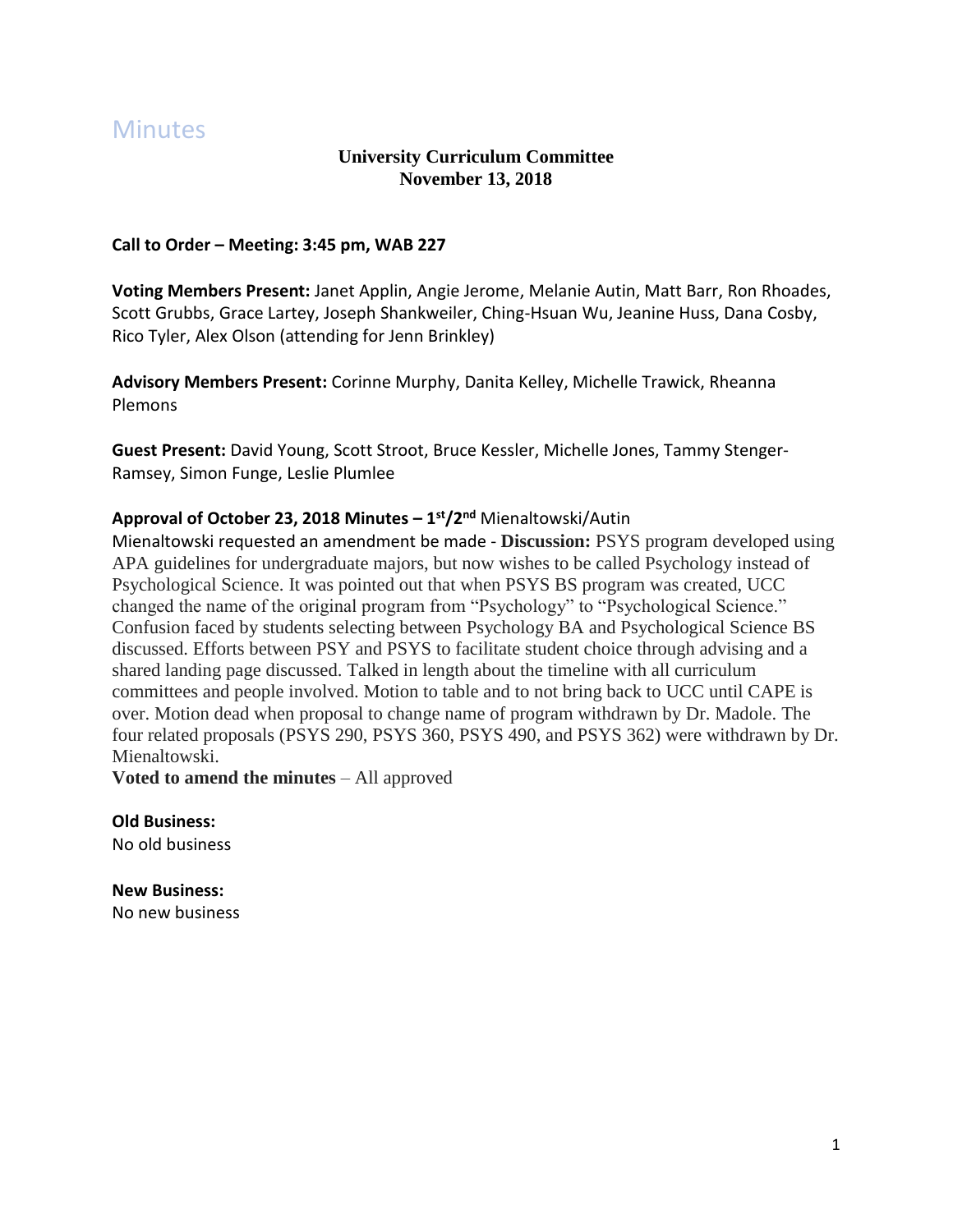# **Minutes**

## **University Curriculum Committee November 13, 2018**

### **Call to Order – Meeting: 3:45 pm, WAB 227**

**Voting Members Present:** Janet Applin, Angie Jerome, Melanie Autin, Matt Barr, Ron Rhoades, Scott Grubbs, Grace Lartey, Joseph Shankweiler, Ching-Hsuan Wu, Jeanine Huss, Dana Cosby, Rico Tyler, Alex Olson (attending for Jenn Brinkley)

**Advisory Members Present:** Corinne Murphy, Danita Kelley, Michelle Trawick, Rheanna Plemons

**Guest Present:** David Young, Scott Stroot, Bruce Kessler, Michelle Jones, Tammy Stenger-Ramsey, Simon Funge, Leslie Plumlee

## **Approval of October 23, 2018 Minutes – 1 st/2nd** Mienaltowski/Autin

Mienaltowski requested an amendment be made - **Discussion:** PSYS program developed using APA guidelines for undergraduate majors, but now wishes to be called Psychology instead of Psychological Science. It was pointed out that when PSYS BS program was created, UCC changed the name of the original program from "Psychology" to "Psychological Science." Confusion faced by students selecting between Psychology BA and Psychological Science BS discussed. Efforts between PSY and PSYS to facilitate student choice through advising and a shared landing page discussed. Talked in length about the timeline with all curriculum committees and people involved. Motion to table and to not bring back to UCC until CAPE is over. Motion dead when proposal to change name of program withdrawn by Dr. Madole. The four related proposals (PSYS 290, PSYS 360, PSYS 490, and PSYS 362) were withdrawn by Dr. Mienaltowski.

**Voted to amend the minutes** – All approved

**Old Business:** No old business

**New Business:** No new business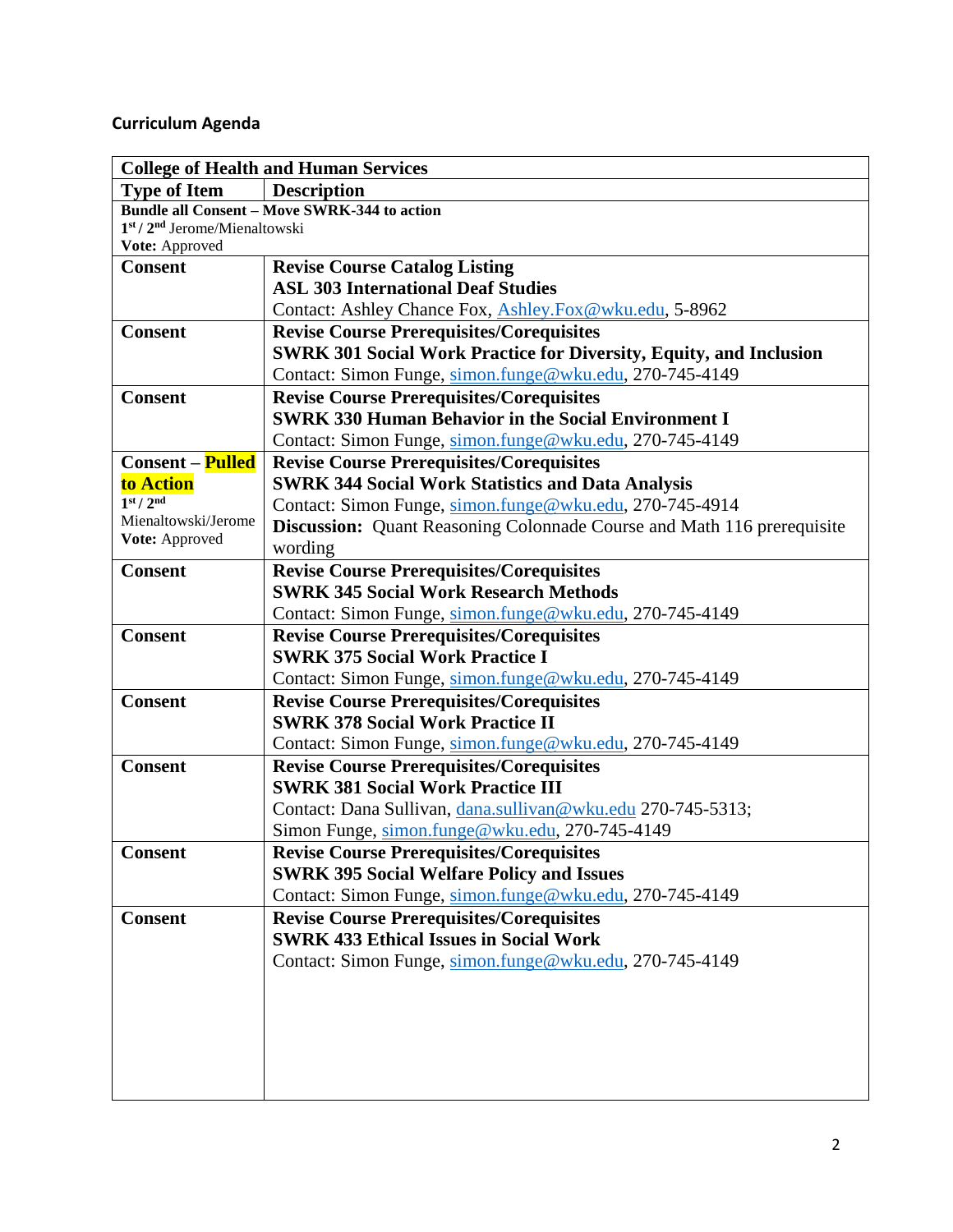# **Curriculum Agenda**

| <b>College of Health and Human Services</b> |                                                                                                             |  |
|---------------------------------------------|-------------------------------------------------------------------------------------------------------------|--|
| <b>Type of Item</b>                         | <b>Description</b>                                                                                          |  |
|                                             | <b>Bundle all Consent - Move SWRK-344 to action</b>                                                         |  |
| $1st / 2nd$ Jerome/Mienaltowski             |                                                                                                             |  |
| Vote: Approved<br><b>Consent</b>            |                                                                                                             |  |
|                                             | <b>Revise Course Catalog Listing</b><br><b>ASL 303 International Deaf Studies</b>                           |  |
|                                             | Contact: Ashley Chance Fox, Ashley.Fox@wku.edu, 5-8962                                                      |  |
| <b>Consent</b>                              | <b>Revise Course Prerequisites/Corequisites</b>                                                             |  |
|                                             | <b>SWRK 301 Social Work Practice for Diversity, Equity, and Inclusion</b>                                   |  |
|                                             | Contact: Simon Funge, simon.funge@wku.edu, 270-745-4149                                                     |  |
| <b>Consent</b>                              | <b>Revise Course Prerequisites/Corequisites</b>                                                             |  |
|                                             | <b>SWRK 330 Human Behavior in the Social Environment I</b>                                                  |  |
|                                             | Contact: Simon Funge, simon.funge@wku.edu, 270-745-4149                                                     |  |
| <b>Consent – Pulled</b>                     |                                                                                                             |  |
| to Action                                   | <b>Revise Course Prerequisites/Corequisites</b><br><b>SWRK 344 Social Work Statistics and Data Analysis</b> |  |
| 1 <sup>st</sup> / 2 <sup>nd</sup>           | Contact: Simon Funge, simon.funge@wku.edu, 270-745-4914                                                     |  |
| Mienaltowski/Jerome                         | <b>Discussion:</b> Quant Reasoning Colonnade Course and Math 116 prerequisite                               |  |
| Vote: Approved                              | wording                                                                                                     |  |
| <b>Consent</b>                              | <b>Revise Course Prerequisites/Corequisites</b>                                                             |  |
|                                             | <b>SWRK 345 Social Work Research Methods</b>                                                                |  |
|                                             | Contact: Simon Funge, simon.funge@wku.edu, 270-745-4149                                                     |  |
| <b>Consent</b>                              | <b>Revise Course Prerequisites/Corequisites</b>                                                             |  |
|                                             | <b>SWRK 375 Social Work Practice I</b>                                                                      |  |
|                                             | Contact: Simon Funge, simon.funge@wku.edu, 270-745-4149                                                     |  |
| <b>Consent</b>                              | <b>Revise Course Prerequisites/Corequisites</b>                                                             |  |
|                                             | <b>SWRK 378 Social Work Practice II</b>                                                                     |  |
|                                             | Contact: Simon Funge, simon.funge@wku.edu, 270-745-4149                                                     |  |
| <b>Consent</b>                              | <b>Revise Course Prerequisites/Corequisites</b>                                                             |  |
|                                             | <b>SWRK 381 Social Work Practice III</b>                                                                    |  |
|                                             | Contact: Dana Sullivan, dana.sullivan@wku.edu 270-745-5313;                                                 |  |
|                                             | Simon Funge, simon.funge@wku.edu, 270-745-4149                                                              |  |
| <b>Consent</b>                              | <b>Revise Course Prerequisites/Corequisites</b>                                                             |  |
|                                             | <b>SWRK 395 Social Welfare Policy and Issues</b>                                                            |  |
|                                             | Contact: Simon Funge, simon.funge@wku.edu, 270-745-4149                                                     |  |
| <b>Consent</b>                              | <b>Revise Course Prerequisites/Corequisites</b>                                                             |  |
|                                             | <b>SWRK 433 Ethical Issues in Social Work</b>                                                               |  |
|                                             | Contact: Simon Funge, simon.funge@wku.edu, 270-745-4149                                                     |  |
|                                             |                                                                                                             |  |
|                                             |                                                                                                             |  |
|                                             |                                                                                                             |  |
|                                             |                                                                                                             |  |
|                                             |                                                                                                             |  |
|                                             |                                                                                                             |  |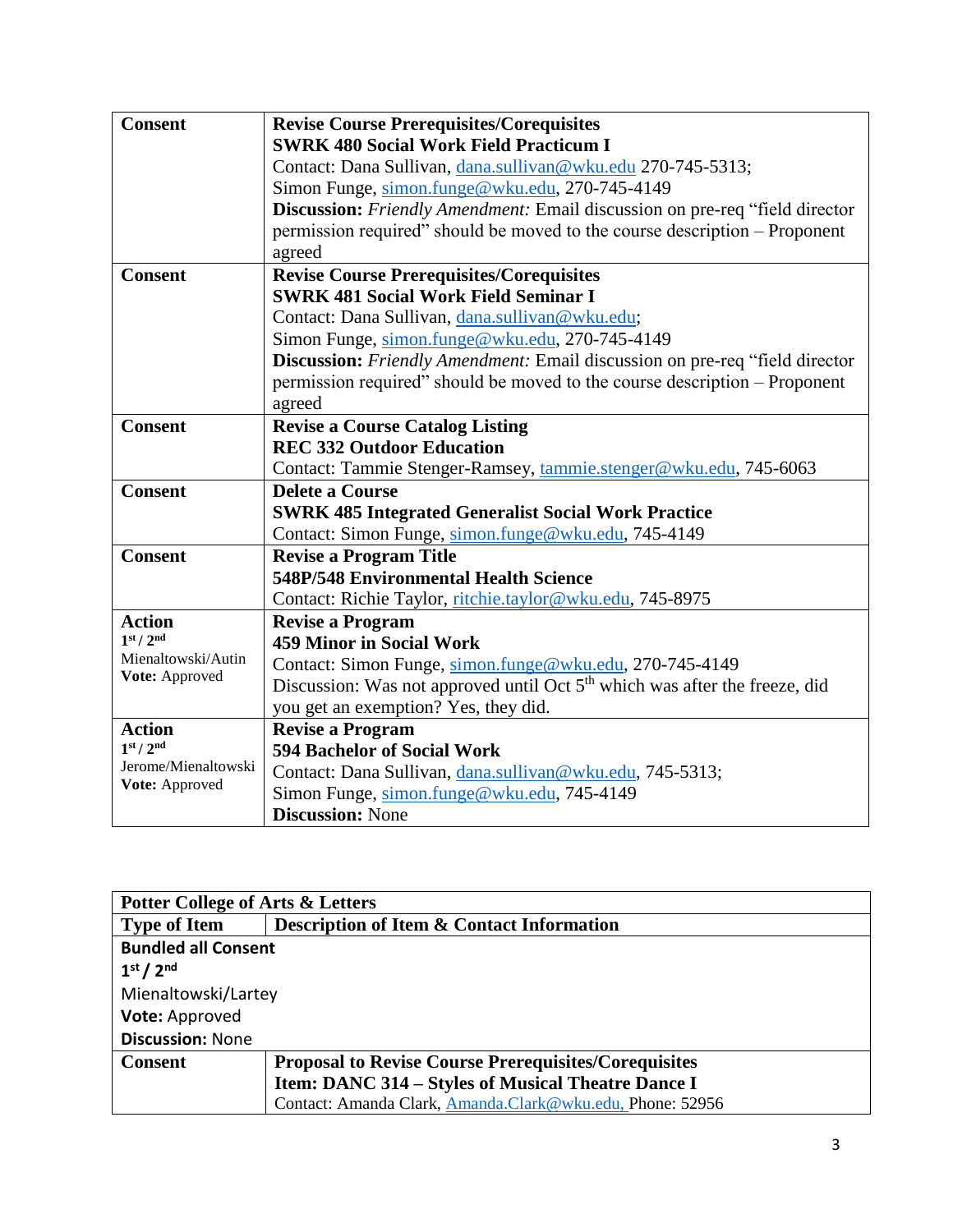| <b>Consent</b>                        | <b>Revise Course Prerequisites/Corequisites</b>                                        |
|---------------------------------------|----------------------------------------------------------------------------------------|
|                                       | <b>SWRK 480 Social Work Field Practicum I</b>                                          |
|                                       | Contact: Dana Sullivan, dana.sullivan@wku.edu 270-745-5313;                            |
|                                       | Simon Funge, simon.funge@wku.edu, 270-745-4149                                         |
|                                       | Discussion: Friendly Amendment: Email discussion on pre-req "field director            |
|                                       | permission required" should be moved to the course description – Proponent             |
|                                       | agreed                                                                                 |
| <b>Consent</b>                        | <b>Revise Course Prerequisites/Corequisites</b>                                        |
|                                       | <b>SWRK 481 Social Work Field Seminar I</b>                                            |
|                                       | Contact: Dana Sullivan, dana.sullivan@wku.edu;                                         |
|                                       | Simon Funge, simon.funge@wku.edu, 270-745-4149                                         |
|                                       | Discussion: Friendly Amendment: Email discussion on pre-req "field director            |
|                                       | permission required" should be moved to the course description – Proponent             |
|                                       | agreed                                                                                 |
| <b>Consent</b>                        | <b>Revise a Course Catalog Listing</b>                                                 |
|                                       | <b>REC 332 Outdoor Education</b>                                                       |
|                                       | Contact: Tammie Stenger-Ramsey, tammie.stenger@wku.edu, 745-6063                       |
| <b>Consent</b>                        | <b>Delete a Course</b>                                                                 |
|                                       | <b>SWRK 485 Integrated Generalist Social Work Practice</b>                             |
|                                       | Contact: Simon Funge, simon.funge@wku.edu, 745-4149                                    |
| <b>Consent</b>                        | <b>Revise a Program Title</b>                                                          |
|                                       | 548P/548 Environmental Health Science                                                  |
|                                       | Contact: Richie Taylor, ritchie.taylor@wku.edu, 745-8975                               |
| <b>Action</b>                         | <b>Revise a Program</b>                                                                |
| 1 <sup>st</sup> / 2 <sup>nd</sup>     | <b>459 Minor in Social Work</b>                                                        |
| Mienaltowski/Autin                    | Contact: Simon Funge, simon.funge@wku.edu, 270-745-4149                                |
| Vote: Approved                        | Discussion: Was not approved until Oct 5 <sup>th</sup> which was after the freeze, did |
|                                       | you get an exemption? Yes, they did.                                                   |
| <b>Action</b>                         | <b>Revise a Program</b>                                                                |
| 1 <sup>st</sup> / 2 <sup>nd</sup>     | <b>594 Bachelor of Social Work</b>                                                     |
| Jerome/Mienaltowski<br>Vote: Approved | Contact: Dana Sullivan, dana.sullivan@wku.edu, 745-5313;                               |
|                                       | Simon Funge, simon.funge@wku.edu, 745-4149                                             |
|                                       | <b>Discussion: None</b>                                                                |

| <b>Potter College of Arts &amp; Letters</b> |                                                             |  |
|---------------------------------------------|-------------------------------------------------------------|--|
| <b>Type of Item</b>                         | <b>Description of Item &amp; Contact Information</b>        |  |
| <b>Bundled all Consent</b>                  |                                                             |  |
| 1 <sup>st</sup> / 2 <sup>nd</sup>           |                                                             |  |
| Mienaltowski/Lartey                         |                                                             |  |
| Vote: Approved                              |                                                             |  |
| <b>Discussion: None</b>                     |                                                             |  |
| <b>Consent</b>                              | <b>Proposal to Revise Course Prerequisites/Corequisites</b> |  |
|                                             | Item: DANC 314 – Styles of Musical Theatre Dance I          |  |
|                                             | Contact: Amanda Clark, Amanda.Clark@wku.edu, Phone: 52956   |  |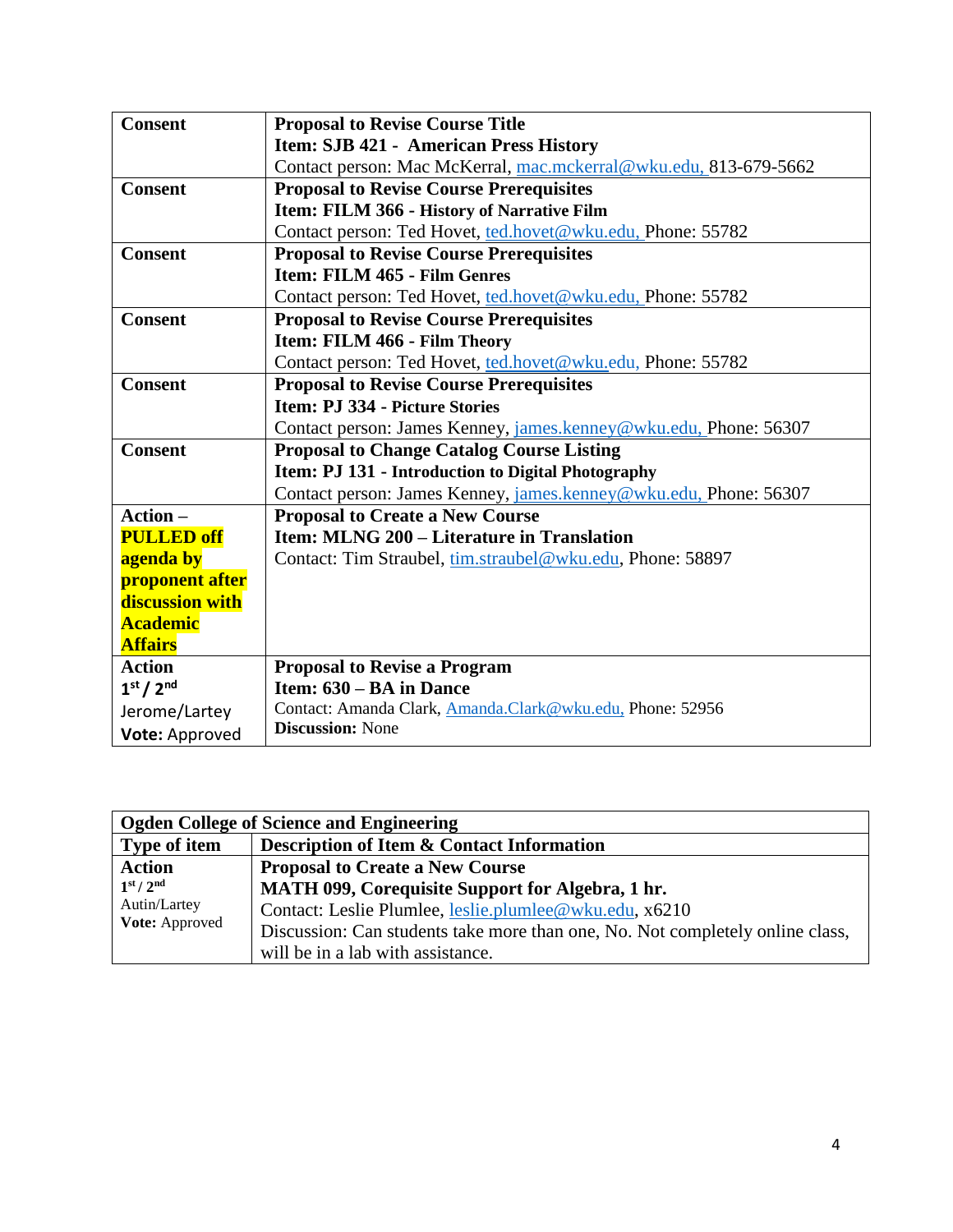| <b>Consent</b>                    | <b>Proposal to Revise Course Title</b>                           |
|-----------------------------------|------------------------------------------------------------------|
|                                   | <b>Item: SJB 421 - American Press History</b>                    |
|                                   | Contact person: Mac McKerral, mac.mckerral@wku.edu, 813-679-5662 |
| <b>Consent</b>                    | <b>Proposal to Revise Course Prerequisites</b>                   |
|                                   | Item: FILM 366 - History of Narrative Film                       |
|                                   | Contact person: Ted Hovet, ted.hovet@wku.edu, Phone: 55782       |
| <b>Consent</b>                    | <b>Proposal to Revise Course Prerequisites</b>                   |
|                                   | Item: FILM 465 - Film Genres                                     |
|                                   | Contact person: Ted Hovet, ted.hovet@wku.edu, Phone: 55782       |
| <b>Consent</b>                    | <b>Proposal to Revise Course Prerequisites</b>                   |
|                                   | Item: FILM 466 - Film Theory                                     |
|                                   | Contact person: Ted Hovet, ted.hovet@wku.edu, Phone: 55782       |
| <b>Consent</b>                    | <b>Proposal to Revise Course Prerequisites</b>                   |
|                                   | Item: P.J 334 - Picture Stories                                  |
|                                   | Contact person: James Kenney, james.kenney@wku.edu, Phone: 56307 |
| <b>Consent</b>                    | <b>Proposal to Change Catalog Course Listing</b>                 |
|                                   | Item: PJ 131 - Introduction to Digital Photography               |
|                                   | Contact person: James Kenney, james.kenney@wku.edu, Phone: 56307 |
| Action-                           | <b>Proposal to Create a New Course</b>                           |
| <b>PULLED off</b>                 | Item: MLNG 200 – Literature in Translation                       |
| agenda by                         | Contact: Tim Straubel, tim.straubel@wku.edu, Phone: 58897        |
| <b>proponent after</b>            |                                                                  |
| discussion with                   |                                                                  |
| <b>Academic</b>                   |                                                                  |
| <b>Affairs</b>                    |                                                                  |
| <b>Action</b>                     | <b>Proposal to Revise a Program</b>                              |
| 1 <sup>st</sup> / 2 <sup>nd</sup> | Item: 630 – BA in Dance                                          |
| Jerome/Lartey                     | Contact: Amanda Clark, Amanda.Clark@wku.edu, Phone: 52956        |
| Vote: Approved                    | <b>Discussion: None</b>                                          |

| <b>Ogden College of Science and Engineering</b>                     |                                                                               |
|---------------------------------------------------------------------|-------------------------------------------------------------------------------|
| Type of item                                                        | Description of Item & Contact Information                                     |
| <b>Action</b>                                                       | <b>Proposal to Create a New Course</b>                                        |
| 1 <sup>st</sup> / 2 <sup>nd</sup><br>Autin/Lartey<br>Vote: Approved | MATH 099, Corequisite Support for Algebra, 1 hr.                              |
|                                                                     | Contact: Leslie Plumlee, leslie.plumlee@wku.edu, x6210                        |
|                                                                     | Discussion: Can students take more than one, No. Not completely online class, |
|                                                                     | will be in a lab with assistance.                                             |